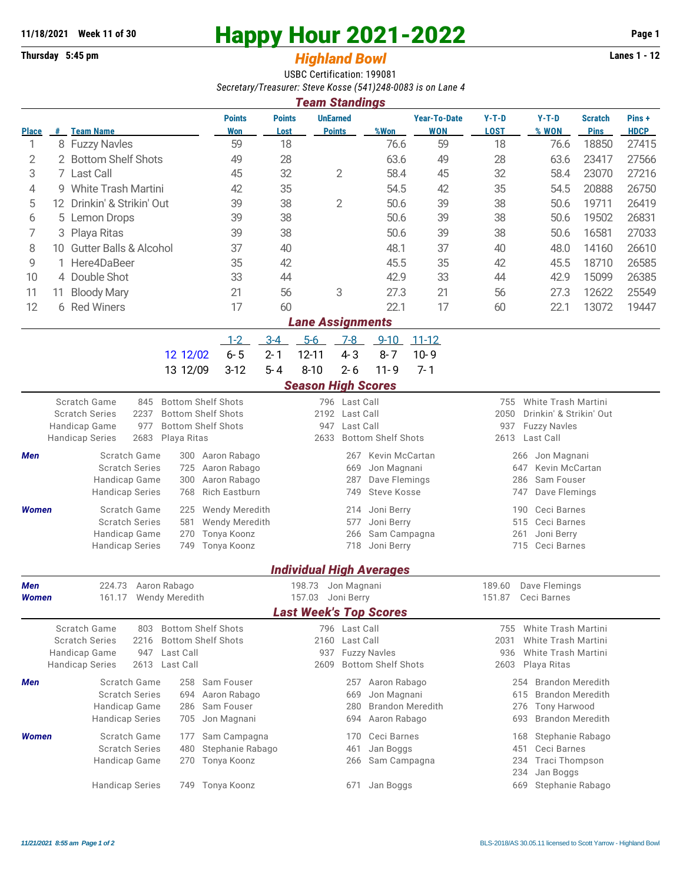## **11/18/2021** Week 11 of 30<br>
Thursday 5:45 pm<br> **Happy Hour 2021-2022** Page 1<br> **Highland Rowl**

## **Thursday 5:45 pm** *Highland Bowl*

USBC Certification: 199081 *Secretary/Treasurer: Steve Kosse (541)248-0083 is on Lane 4 Team Standings*

| <u>i eam Standings</u>  |    |                                                                                                                                                                                                                             |                                                                       |                       |                                 |                                                  |                                                                        |                                                                                                                |                                                                                                                  |                                                                                                      |                               |                      |  |  |
|-------------------------|----|-----------------------------------------------------------------------------------------------------------------------------------------------------------------------------------------------------------------------------|-----------------------------------------------------------------------|-----------------------|---------------------------------|--------------------------------------------------|------------------------------------------------------------------------|----------------------------------------------------------------------------------------------------------------|------------------------------------------------------------------------------------------------------------------|------------------------------------------------------------------------------------------------------|-------------------------------|----------------------|--|--|
| <b>Place</b>            |    | # Team Name                                                                                                                                                                                                                 | <b>Points</b><br><b>Won</b>                                           | <b>Points</b><br>Lost |                                 | <b>UnEarned</b><br><b>Points</b>                 | %Won                                                                   | <b>Year-To-Date</b><br><b>WON</b>                                                                              | $Y-T-D$<br><b>LOST</b>                                                                                           | $Y-T-D$<br>% WON                                                                                     | <b>Scratch</b><br><b>Pins</b> | Pins+<br><b>HDCP</b> |  |  |
| 1                       |    | 8 Fuzzy Navles                                                                                                                                                                                                              | 59                                                                    | 18                    |                                 |                                                  | 76.6                                                                   | 59                                                                                                             | 18                                                                                                               | 76.6                                                                                                 | 18850                         | 27415                |  |  |
| 2                       | 2  | <b>Bottom Shelf Shots</b>                                                                                                                                                                                                   | 49                                                                    | 28                    |                                 |                                                  | 63.6                                                                   | 49                                                                                                             | 28                                                                                                               | 63.6                                                                                                 | 23417                         | 27566                |  |  |
| 3                       |    | 7 Last Call                                                                                                                                                                                                                 | 45                                                                    | 32                    |                                 | 2                                                | 58.4                                                                   | 45                                                                                                             | 32                                                                                                               | 58.4                                                                                                 | 23070                         | 27216                |  |  |
| 4                       |    | 9 White Trash Martini                                                                                                                                                                                                       | 42                                                                    | 35                    |                                 |                                                  | 54.5                                                                   | 42                                                                                                             | 35                                                                                                               | 54.5                                                                                                 | 20888                         | 26750                |  |  |
| 5                       |    | 12 Drinkin' & Strikin' Out                                                                                                                                                                                                  | 39                                                                    | 38                    |                                 | 2                                                | 50.6                                                                   | 39                                                                                                             | 38                                                                                                               | 50.6                                                                                                 | 19711                         | 26419                |  |  |
| 6                       | 5  | <b>Lemon Drops</b>                                                                                                                                                                                                          | 39                                                                    | 38                    |                                 |                                                  | 50.6                                                                   | 39                                                                                                             | 38                                                                                                               | 50.6                                                                                                 | 19502                         | 26831                |  |  |
| 7                       | 3  | Playa Ritas                                                                                                                                                                                                                 | 39                                                                    | 38                    |                                 |                                                  | 50.6                                                                   | 39                                                                                                             | 38                                                                                                               | 50.6                                                                                                 | 16581                         | 27033                |  |  |
| 8                       | 10 | <b>Gutter Balls &amp; Alcohol</b>                                                                                                                                                                                           | 37                                                                    | 40                    |                                 |                                                  | 48.1                                                                   | 37                                                                                                             | 40                                                                                                               | 48.0                                                                                                 | 14160                         | 26610                |  |  |
| 9                       |    | Here4DaBeer                                                                                                                                                                                                                 | 35                                                                    | 42                    |                                 |                                                  | 45.5                                                                   | 35                                                                                                             | 42                                                                                                               | 45.5                                                                                                 | 18710                         | 26585                |  |  |
| 10                      |    | 4 Double Shot                                                                                                                                                                                                               | 33                                                                    | 44                    |                                 |                                                  | 42.9                                                                   | 33                                                                                                             | 44                                                                                                               | 42.9                                                                                                 | 15099                         | 26385                |  |  |
| 11                      | 11 | <b>Bloody Mary</b>                                                                                                                                                                                                          | 21                                                                    | 56                    |                                 | 3                                                |                                                                        | 21                                                                                                             | 56                                                                                                               | 27.3                                                                                                 | 12622                         | 25549                |  |  |
| 12                      |    | 6 Red Winers                                                                                                                                                                                                                | 17                                                                    | 60                    |                                 |                                                  | 27.3<br>22.1                                                           | 17                                                                                                             | 60                                                                                                               | 22.1                                                                                                 | 13072                         | 19447                |  |  |
|                         |    |                                                                                                                                                                                                                             |                                                                       |                       |                                 |                                                  |                                                                        |                                                                                                                |                                                                                                                  |                                                                                                      |                               |                      |  |  |
| <b>Lane Assignments</b> |    |                                                                                                                                                                                                                             |                                                                       |                       |                                 |                                                  |                                                                        |                                                                                                                |                                                                                                                  |                                                                                                      |                               |                      |  |  |
|                         |    |                                                                                                                                                                                                                             | $1 - 2$                                                               | $3 - 4$               | $5-6$                           | $7-8$                                            | $9 - 10$                                                               | $11 - 12$                                                                                                      |                                                                                                                  |                                                                                                      |                               |                      |  |  |
|                         |    | 12 12/02                                                                                                                                                                                                                    | $6 - 5$                                                               | $2 - 1$               | $12 - 11$                       | $4 - 3$                                          | $8 - 7$                                                                | $10 - 9$                                                                                                       |                                                                                                                  |                                                                                                      |                               |                      |  |  |
|                         |    | 13 12/09                                                                                                                                                                                                                    | $3-12$                                                                | $5 - 4$               | $8 - 10$                        | $2 - 6$                                          | $11 - 9$                                                               | $7 - 1$                                                                                                        |                                                                                                                  |                                                                                                      |                               |                      |  |  |
|                         |    |                                                                                                                                                                                                                             |                                                                       |                       | <b>Season High Scores</b>       |                                                  |                                                                        |                                                                                                                |                                                                                                                  |                                                                                                      |                               |                      |  |  |
|                         |    | <b>Scratch Game</b><br><b>Bottom Shelf Shots</b><br>845<br>2237<br><b>Bottom Shelf Shots</b><br><b>Scratch Series</b><br>977<br><b>Bottom Shelf Shots</b><br>Handicap Game<br><b>Handicap Series</b><br>2683<br>Playa Ritas |                                                                       |                       | 947<br>2633                     | 796 Last Call<br>2192 Last Call<br>Last Call     | <b>Bottom Shelf Shots</b>                                              |                                                                                                                | White Trash Martini<br>755<br>2050<br>Drinkin' & Strikin' Out<br>937<br><b>Fuzzy Navles</b><br>Last Call<br>2613 |                                                                                                      |                               |                      |  |  |
| Men                     |    | Scratch Game<br>300<br><b>Scratch Series</b><br>725<br>Handicap Game<br>300<br><b>Handicap Series</b><br>768                                                                                                                | Aaron Rabago<br>Aaron Rabago<br>Aaron Rabago<br><b>Rich Eastburn</b>  |                       |                                 | 267<br>669<br>287<br>749                         | Kevin McCartan<br>Jon Magnani<br>Dave Flemings<br>Steve Kosse          |                                                                                                                | Jon Magnani<br>266<br>Kevin McCartan<br>647<br>Sam Fouser<br>286<br>Dave Flemings<br>747                         |                                                                                                      |                               |                      |  |  |
| <b>Women</b>            |    | Scratch Game<br>225<br><b>Scratch Series</b><br>581<br>Handicap Game<br>270<br><b>Handicap Series</b><br>749                                                                                                                | <b>Wendy Meredith</b><br>Wendy Meredith<br>Tonya Koonz<br>Tonya Koonz |                       |                                 | 214<br>577<br>266                                | Joni Berry<br>Joni Berry<br>Sam Campagna<br>718 Joni Berry             |                                                                                                                | 190<br>515<br>261                                                                                                | Ceci Barnes<br>Ceci Barnes<br>Joni Berry<br>715 Ceci Barnes                                          |                               |                      |  |  |
|                         |    |                                                                                                                                                                                                                             |                                                                       |                       |                                 |                                                  | <b>Individual High Averages</b>                                        |                                                                                                                |                                                                                                                  |                                                                                                      |                               |                      |  |  |
| <b>Men</b><br>Women     |    | 224.73<br>Aaron Rabago<br><b>Wendy Meredith</b><br>161.17                                                                                                                                                                   |                                                                       |                       | 198.73<br>157.03                | Jon Magnani<br>Joni Berry                        |                                                                        |                                                                                                                | 189.60<br>151.87                                                                                                 | Dave Flemings<br>Ceci Barnes                                                                         |                               |                      |  |  |
|                         |    |                                                                                                                                                                                                                             |                                                                       |                       |                                 |                                                  | <b>Last Week's Top Scores</b>                                          |                                                                                                                |                                                                                                                  |                                                                                                      |                               |                      |  |  |
|                         |    | Scratch Game<br><b>Bottom Shelf Shots</b><br>803<br><b>Scratch Series</b><br>2216<br><b>Bottom Shelf Shots</b><br>Handicap Game<br>947<br>Last Call<br>2613<br><b>Handicap Series</b><br>Last Call                          |                                                                       | 937<br>2609           | 796 Last Call<br>2160 Last Call | <b>Fuzzy Navles</b><br><b>Bottom Shelf Shots</b> |                                                                        | White Trash Martini<br>755<br>2031<br>White Trash Martini<br>White Trash Martini<br>936<br>2603<br>Playa Ritas |                                                                                                                  |                                                                                                      |                               |                      |  |  |
| Men                     |    | Scratch Game<br>258<br><b>Scratch Series</b><br>694<br>Handicap Game<br>286<br><b>Handicap Series</b><br>705                                                                                                                | Sam Fouser<br>Aaron Rabago<br>Sam Fouser<br>Jon Magnani               |                       |                                 | 257<br>669<br>280<br>694                         | Aaron Rabago<br>Jon Magnani<br><b>Brandon Meredith</b><br>Aaron Rabago |                                                                                                                | 254<br>615<br>276<br>693                                                                                         | <b>Brandon Meredith</b><br><b>Brandon Meredith</b><br><b>Tony Harwood</b><br><b>Brandon Meredith</b> |                               |                      |  |  |
| <b>Women</b>            |    | Scratch Game<br>177<br><b>Scratch Series</b><br>480<br>Handicap Game<br>270                                                                                                                                                 | Sam Campagna<br>Stephanie Rabago<br>Tonya Koonz                       |                       |                                 | 170<br>461<br>266                                | Ceci Barnes<br>Jan Boggs<br>Sam Campagna                               |                                                                                                                | 168<br>451<br>234<br>234                                                                                         | Stephanie Rabago<br>Ceci Barnes<br><b>Traci Thompson</b><br>Jan Boggs                                |                               |                      |  |  |
|                         |    | <b>Handicap Series</b>                                                                                                                                                                                                      | 749 Tonya Koonz                                                       |                       | Jan Boggs<br>671                |                                                  |                                                                        |                                                                                                                | Stephanie Rabago<br>669                                                                                          |                                                                                                      |                               |                      |  |  |